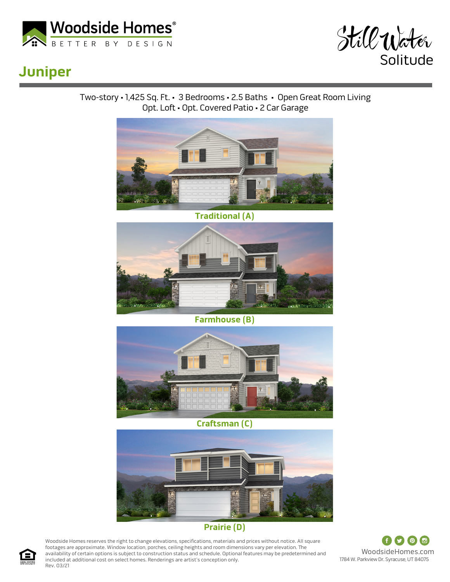



## **Juniper**

Two-story • 1,425 Sq. Ft. • 3 Bedrooms • 2.5 Baths • Open Great Room Living Opt. Loft • Opt. Covered Patio • 2 Car Garage



**Traditional (A)**



**Farmhouse (B)**



**Craftsman (C)**



## **Prairie (D)**

Woodside Homes reserves the right to change elevations, specifications, materials and prices without notice. All square footages are approximate. Window location, porches, ceiling heights and room dimensions vary per elevation. The availability of certain options is subject to construction status and schedule. Optional features may be predetermined and included at additional cost on select homes. Renderings are artist's conception only. Rev. 03/21